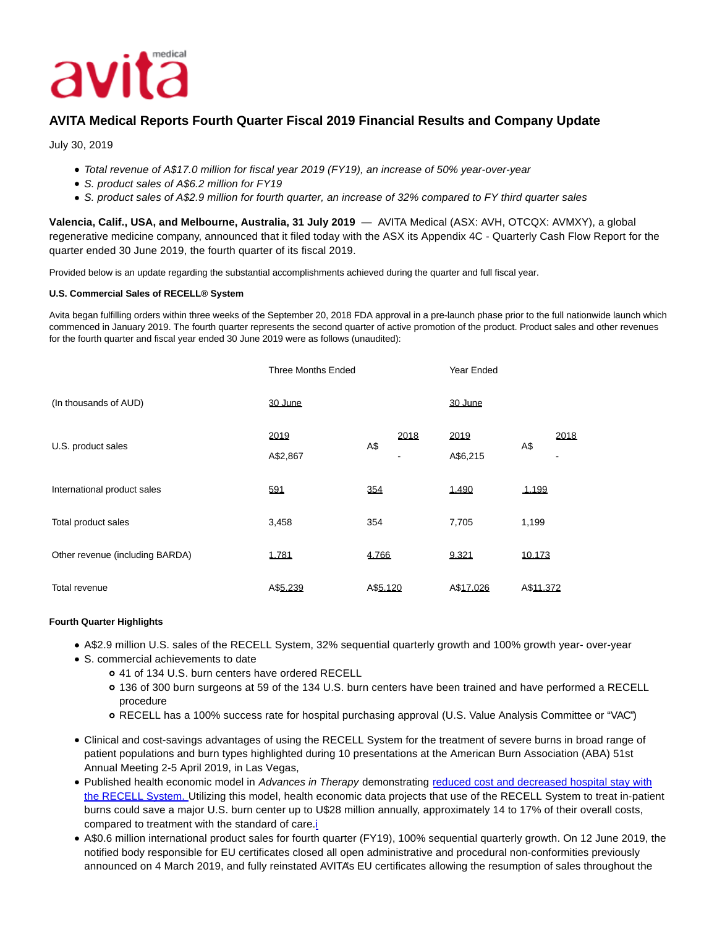

# **AVITA Medical Reports Fourth Quarter Fiscal 2019 Financial Results and Company Update**

July 30, 2019

- Total revenue of A\$17.0 million for fiscal year 2019 (FY19), an increase of 50% year-over-year
- S. product sales of A\$6.2 million for FY19
- S. product sales of A\$2.9 million for fourth quarter, an increase of 32% compared to FY third quarter sales

**Valencia, Calif., USA, and Melbourne, Australia, 31 July 2019** — AVITA Medical (ASX: AVH, OTCQX: AVMXY), a global regenerative medicine company, announced that it filed today with the ASX its Appendix 4C - Quarterly Cash Flow Report for the quarter ended 30 June 2019, the fourth quarter of its fiscal 2019.

Provided below is an update regarding the substantial accomplishments achieved during the quarter and full fiscal year.

### **U.S. Commercial Sales of RECELL® System**

Avita began fulfilling orders within three weeks of the September 20, 2018 FDA approval in a pre-launch phase prior to the full nationwide launch which commenced in January 2019. The fourth quarter represents the second quarter of active promotion of the product. Product sales and other revenues for the fourth quarter and fiscal year ended 30 June 2019 were as follows (unaudited):

|                                 | <b>Three Months Ended</b> |          | Year Ended |                  |           |      |
|---------------------------------|---------------------------|----------|------------|------------------|-----------|------|
| (In thousands of AUD)           | 30 June                   |          |            | 30 June          |           |      |
| U.S. product sales              | 2019<br>A\$2,867          | A\$      | 2018       | 2019<br>A\$6,215 | A\$       | 2018 |
| International product sales     | 591                       | 354      |            | 1,490            | 1.199     |      |
| Total product sales             | 3,458                     | 354      |            | 7,705            | 1,199     |      |
| Other revenue (including BARDA) | 1.781                     | 4.766    |            | 9.321            | 10.173    |      |
| Total revenue                   | A\$5,239                  | A\$5,120 |            | A\$17,026        | A\$11,372 |      |

# **Fourth Quarter Highlights**

- A\$2.9 million U.S. sales of the RECELL System, 32% sequential quarterly growth and 100% growth year- over-year
- S. commercial achievements to date
	- 41 of 134 U.S. burn centers have ordered RECELL
	- 136 of 300 burn surgeons at 59 of the 134 U.S. burn centers have been trained and have performed a RECELL procedure
	- RECELL has a 100% success rate for hospital purchasing approval (U.S. Value Analysis Committee or "VAC")
- Clinical and cost-savings advantages of using the RECELL System for the treatment of severe burns in broad range of patient populations and burn types highlighted during 10 presentations at the American Burn Association (ABA) 51st Annual Meeting 2-5 April 2019, in Las Vegas,
- Published health economic model in Advances in Therapy demonstrating [reduced cost and decreased hospital stay with](https://www.avitamedical.com/uploads/pdf/AVH-AdvTher-Hecon-Publication-Press-Release-15MAY19-FINAL.pdf) the RECELL System. Utilizing this model, health economic data projects that use of the RECELL System to treat in-patient burns could save a major U.S. burn center up to U\$28 million annually, approximately 14 to 17% of their overall costs, compared to treatment with the standard of care[.i](file:///C:/Windows/Temp/ABCpdf/d00a791b-d871-4c4f-b4a4-59ea429a8d46.html#bookmark0)
- A\$0.6 million international product sales for fourth quarter (FY19), 100% sequential quarterly growth. On 12 June 2019, the notified body responsible for EU certificates closed all open administrative and procedural non-conformities previously announced on 4 March 2019, and fully reinstated AVITA's EU certificates allowing the resumption of sales throughout the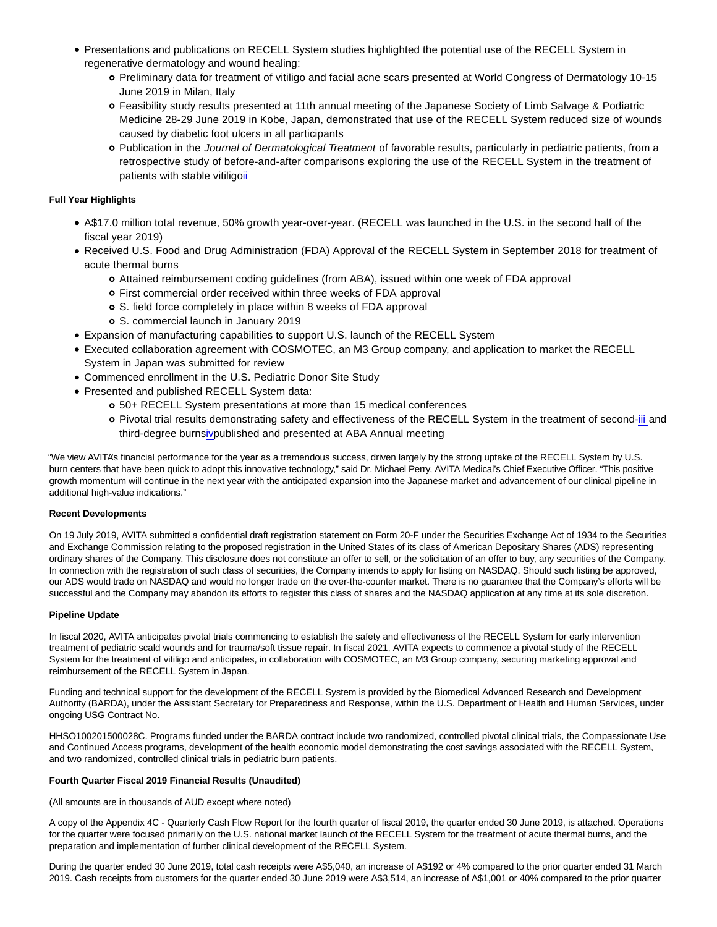- Presentations and publications on RECELL System studies highlighted the potential use of the RECELL System in regenerative dermatology and wound healing:
	- Preliminary data for treatment of vitiligo and facial acne scars presented at World Congress of Dermatology 10-15 June 2019 in Milan, Italy
	- Feasibility study results presented at 11th annual meeting of the Japanese Society of Limb Salvage & Podiatric Medicine 28-29 June 2019 in Kobe, Japan, demonstrated that use of the RECELL System reduced size of wounds caused by diabetic foot ulcers in all participants
	- Publication in the Journal of Dermatological Treatment of favorable results, particularly in pediatric patients, from a retrospective study of before-and-after comparisons exploring the use of the RECELL System in the treatment of patients with stable vitilig[oii](file:///C:/Windows/Temp/ABCpdf/d00a791b-d871-4c4f-b4a4-59ea429a8d46.html#bookmark1)

# **Full Year Highlights**

- A\$17.0 million total revenue, 50% growth year-over-year. (RECELL was launched in the U.S. in the second half of the fiscal year 2019)
- Received U.S. Food and Drug Administration (FDA) Approval of the RECELL System in September 2018 for treatment of acute thermal burns
	- Attained reimbursement coding guidelines (from ABA), issued within one week of FDA approval
	- First commercial order received within three weeks of FDA approval
	- S. field force completely in place within 8 weeks of FDA approval
	- o S. commercial launch in January 2019
- Expansion of manufacturing capabilities to support U.S. launch of the RECELL System
- Executed collaboration agreement with COSMOTEC, an M3 Group company, and application to market the RECELL System in Japan was submitted for review
- Commenced enrollment in the U.S. Pediatric Donor Site Study
- Presented and published RECELL System data:
	- 50+ RECELL System presentations at more than 15 medical conferences
	- Pivotal trial results demonstrating safety and effectiveness of the RECELL System in the treatment of second[-iii a](file:///C:/Windows/Temp/ABCpdf/d00a791b-d871-4c4f-b4a4-59ea429a8d46.html#bookmark2)nd third-degree burn[sivp](file:///C:/Windows/Temp/ABCpdf/d00a791b-d871-4c4f-b4a4-59ea429a8d46.html#bookmark3)ublished and presented at ABA Annual meeting

"We view AVITA's financial performance for the year as a tremendous success, driven largely by the strong uptake of the RECELL System by U.S. burn centers that have been quick to adopt this innovative technology," said Dr. Michael Perry, AVITA Medical's Chief Executive Officer. "This positive growth momentum will continue in the next year with the anticipated expansion into the Japanese market and advancement of our clinical pipeline in additional high-value indications."

### **Recent Developments**

On 19 July 2019, AVITA submitted a confidential draft registration statement on Form 20-F under the Securities Exchange Act of 1934 to the Securities and Exchange Commission relating to the proposed registration in the United States of its class of American Depositary Shares (ADS) representing ordinary shares of the Company. This disclosure does not constitute an offer to sell, or the solicitation of an offer to buy, any securities of the Company. In connection with the registration of such class of securities, the Company intends to apply for listing on NASDAQ. Should such listing be approved, our ADS would trade on NASDAQ and would no longer trade on the over-the-counter market. There is no guarantee that the Company's efforts will be successful and the Company may abandon its efforts to register this class of shares and the NASDAQ application at any time at its sole discretion.

# **Pipeline Update**

In fiscal 2020, AVITA anticipates pivotal trials commencing to establish the safety and effectiveness of the RECELL System for early intervention treatment of pediatric scald wounds and for trauma/soft tissue repair. In fiscal 2021, AVITA expects to commence a pivotal study of the RECELL System for the treatment of vitiligo and anticipates, in collaboration with COSMOTEC, an M3 Group company, securing marketing approval and reimbursement of the RECELL System in Japan.

Funding and technical support for the development of the RECELL System is provided by the Biomedical Advanced Research and Development Authority (BARDA), under the Assistant Secretary for Preparedness and Response, within the U.S. Department of Health and Human Services, under ongoing USG Contract No.

HHSO100201500028C. Programs funded under the BARDA contract include two randomized, controlled pivotal clinical trials, the Compassionate Use and Continued Access programs, development of the health economic model demonstrating the cost savings associated with the RECELL System, and two randomized, controlled clinical trials in pediatric burn patients.

#### **Fourth Quarter Fiscal 2019 Financial Results (Unaudited)**

(All amounts are in thousands of AUD except where noted)

A copy of the Appendix 4C - Quarterly Cash Flow Report for the fourth quarter of fiscal 2019, the quarter ended 30 June 2019, is attached. Operations for the quarter were focused primarily on the U.S. national market launch of the RECELL System for the treatment of acute thermal burns, and the preparation and implementation of further clinical development of the RECELL System.

During the quarter ended 30 June 2019, total cash receipts were A\$5,040, an increase of A\$192 or 4% compared to the prior quarter ended 31 March 2019. Cash receipts from customers for the quarter ended 30 June 2019 were A\$3,514, an increase of A\$1,001 or 40% compared to the prior quarter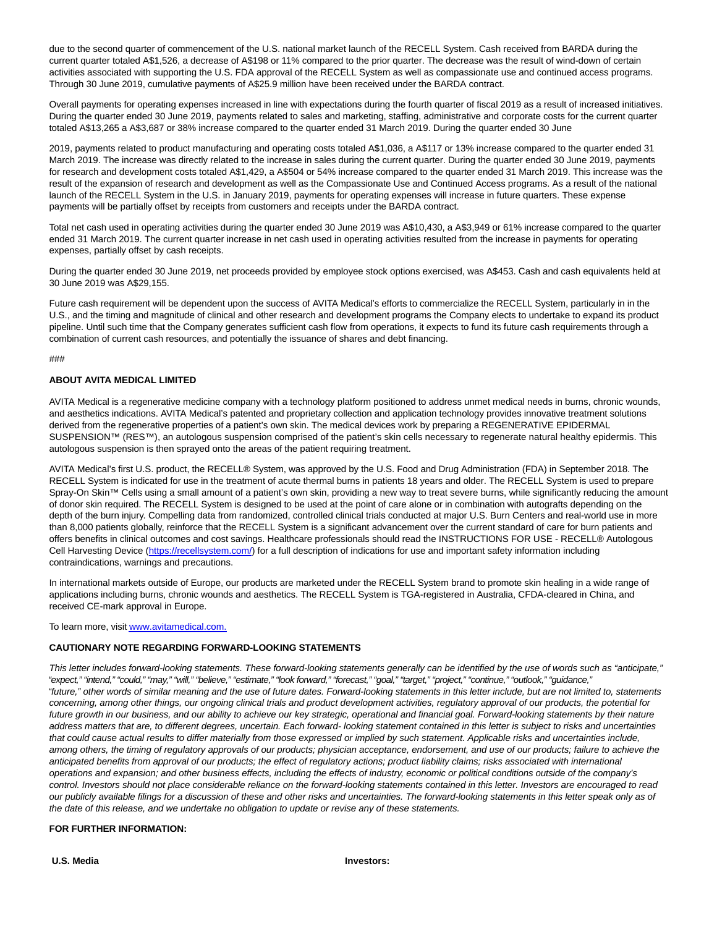due to the second quarter of commencement of the U.S. national market launch of the RECELL System. Cash received from BARDA during the current quarter totaled A\$1,526, a decrease of A\$198 or 11% compared to the prior quarter. The decrease was the result of wind-down of certain activities associated with supporting the U.S. FDA approval of the RECELL System as well as compassionate use and continued access programs. Through 30 June 2019, cumulative payments of A\$25.9 million have been received under the BARDA contract.

Overall payments for operating expenses increased in line with expectations during the fourth quarter of fiscal 2019 as a result of increased initiatives. During the quarter ended 30 June 2019, payments related to sales and marketing, staffing, administrative and corporate costs for the current quarter totaled A\$13,265 a A\$3,687 or 38% increase compared to the quarter ended 31 March 2019. During the quarter ended 30 June

2019, payments related to product manufacturing and operating costs totaled A\$1,036, a A\$117 or 13% increase compared to the quarter ended 31 March 2019. The increase was directly related to the increase in sales during the current quarter. During the quarter ended 30 June 2019, payments for research and development costs totaled A\$1,429, a A\$504 or 54% increase compared to the quarter ended 31 March 2019. This increase was the result of the expansion of research and development as well as the Compassionate Use and Continued Access programs. As a result of the national launch of the RECELL System in the U.S. in January 2019, payments for operating expenses will increase in future quarters. These expense payments will be partially offset by receipts from customers and receipts under the BARDA contract.

Total net cash used in operating activities during the quarter ended 30 June 2019 was A\$10,430, a A\$3,949 or 61% increase compared to the quarter ended 31 March 2019. The current quarter increase in net cash used in operating activities resulted from the increase in payments for operating expenses, partially offset by cash receipts.

During the quarter ended 30 June 2019, net proceeds provided by employee stock options exercised, was A\$453. Cash and cash equivalents held at 30 June 2019 was A\$29,155.

Future cash requirement will be dependent upon the success of AVITA Medical's efforts to commercialize the RECELL System, particularly in in the U.S., and the timing and magnitude of clinical and other research and development programs the Company elects to undertake to expand its product pipeline. Until such time that the Company generates sufficient cash flow from operations, it expects to fund its future cash requirements through a combination of current cash resources, and potentially the issuance of shares and debt financing.

###

# **ABOUT AVITA MEDICAL LIMITED**

AVITA Medical is a regenerative medicine company with a technology platform positioned to address unmet medical needs in burns, chronic wounds, and aesthetics indications. AVITA Medical's patented and proprietary collection and application technology provides innovative treatment solutions derived from the regenerative properties of a patient's own skin. The medical devices work by preparing a REGENERATIVE EPIDERMAL SUSPENSION™ (RES™), an autologous suspension comprised of the patient's skin cells necessary to regenerate natural healthy epidermis. This autologous suspension is then sprayed onto the areas of the patient requiring treatment.

AVITA Medical's first U.S. product, the RECELL® System, was approved by the U.S. Food and Drug Administration (FDA) in September 2018. The RECELL System is indicated for use in the treatment of acute thermal burns in patients 18 years and older. The RECELL System is used to prepare Spray-On Skin™ Cells using a small amount of a patient's own skin, providing a new way to treat severe burns, while significantly reducing the amount of donor skin required. The RECELL System is designed to be used at the point of care alone or in combination with autografts depending on the depth of the burn injury. Compelling data from randomized, controlled clinical trials conducted at major U.S. Burn Centers and real-world use in more than 8,000 patients globally, reinforce that the RECELL System is a significant advancement over the current standard of care for burn patients and offers benefits in clinical outcomes and cost savings. Healthcare professionals should read the INSTRUCTIONS FOR USE - RECELL® Autologous Cell Harvesting Device [\(https://recellsystem.com/\)](https://recellsystem.com/) for a full description of indications for use and important safety information including contraindications, warnings and precautions.

In international markets outside of Europe, our products are marketed under the RECELL System brand to promote skin healing in a wide range of applications including burns, chronic wounds and aesthetics. The RECELL System is TGA-registered in Australia, CFDA-cleared in China, and received CE-mark approval in Europe.

To learn more, visi[t www.avitamedical.com.](http://www.avitamedical.com/)

#### **CAUTIONARY NOTE REGARDING FORWARD-LOOKING STATEMENTS**

This letter includes forward-looking statements. These forward-looking statements generally can be identified by the use of words such as "anticipate," "expect," "intend," "could," "may," "will," "believe," "estimate," "look forward," "forecast," "goal," "target," "project," "continue," "outlook," "guidance," "future," other words of similar meaning and the use of future dates. Forward-looking statements in this letter include, but are not limited to, statements concerning, among other things, our ongoing clinical trials and product development activities, regulatory approval of our products, the potential for future growth in our business, and our ability to achieve our key strategic, operational and financial goal. Forward-looking statements by their nature address matters that are, to different degrees, uncertain. Each forward- looking statement contained in this letter is subject to risks and uncertainties that could cause actual results to differ materially from those expressed or implied by such statement. Applicable risks and uncertainties include, among others, the timing of regulatory approvals of our products; physician acceptance, endorsement, and use of our products; failure to achieve the anticipated benefits from approval of our products; the effect of regulatory actions; product liability claims; risks associated with international operations and expansion; and other business effects, including the effects of industry, economic or political conditions outside of the company's control. Investors should not place considerable reliance on the forward-looking statements contained in this letter. Investors are encouraged to read our publicly available filings for a discussion of these and other risks and uncertainties. The forward-looking statements in this letter speak only as of the date of this release, and we undertake no obligation to update or revise any of these statements.

### **FOR FURTHER INFORMATION:**